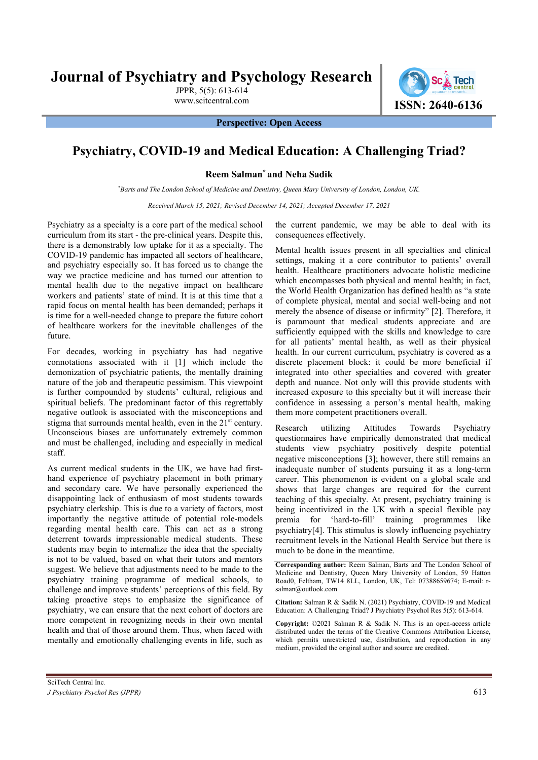Journal of Psychiatry and Psychology Research

JPPR, 5(5): 613-614



Perspective: Open Access

## Psychiatry, COVID-19 and Medical Education: A Challenging Triad?

Reem Salman\* and Neha Sadik

\*Barts and The London School of Medicine and Dentistry, Queen Mary University of London, London, UK.

Received March 15, 2021; Revised December 14, 2021; Accepted December 17, 2021

Psychiatry as a specialty is a core part of the medical school curriculum from its start - the pre-clinical years. Despite this, there is a demonstrably low uptake for it as a specialty. The COVID-19 pandemic has impacted all sectors of healthcare, and psychiatry especially so. It has forced us to change the way we practice medicine and has turned our attention to mental health due to the negative impact on healthcare workers and patients' state of mind. It is at this time that a rapid focus on mental health has been demanded; perhaps it is time for a well-needed change to prepare the future cohort of healthcare workers for the inevitable challenges of the future.

For decades, working in psychiatry has had negative connotations associated with it [1] which include the demonization of psychiatric patients, the mentally draining nature of the job and therapeutic pessimism. This viewpoint is further compounded by students' cultural, religious and spiritual beliefs. The predominant factor of this regrettably negative outlook is associated with the misconceptions and stigma that surrounds mental health, even in the  $21<sup>st</sup>$  century. Unconscious biases are unfortunately extremely common and must be challenged, including and especially in medical staff.

As current medical students in the UK, we have had firsthand experience of psychiatry placement in both primary and secondary care. We have personally experienced the disappointing lack of enthusiasm of most students towards psychiatry clerkship. This is due to a variety of factors, most importantly the negative attitude of potential role-models regarding mental health care. This can act as a strong deterrent towards impressionable medical students. These students may begin to internalize the idea that the specialty is not to be valued, based on what their tutors and mentors suggest. We believe that adjustments need to be made to the psychiatry training programme of medical schools, to challenge and improve students' perceptions of this field. By taking proactive steps to emphasize the significance of psychiatry, we can ensure that the next cohort of doctors are more competent in recognizing needs in their own mental health and that of those around them. Thus, when faced with mentally and emotionally challenging events in life, such as

the current pandemic, we may be able to deal with its consequences effectively.

Mental health issues present in all specialties and clinical settings, making it a core contributor to patients' overall health. Healthcare practitioners advocate holistic medicine which encompasses both physical and mental health; in fact, the World Health Organization has defined health as "a state of complete physical, mental and social well-being and not merely the absence of disease or infirmity" [2]. Therefore, it is paramount that medical students appreciate and are sufficiently equipped with the skills and knowledge to care for all patients' mental health, as well as their physical health. In our current curriculum, psychiatry is covered as a discrete placement block: it could be more beneficial if integrated into other specialties and covered with greater depth and nuance. Not only will this provide students with increased exposure to this specialty but it will increase their confidence in assessing a person's mental health, making them more competent practitioners overall.

Research utilizing Attitudes Towards Psychiatry questionnaires have empirically demonstrated that medical students view psychiatry positively despite potential negative misconceptions [3]; however, there still remains an inadequate number of students pursuing it as a long-term career. This phenomenon is evident on a global scale and shows that large changes are required for the current teaching of this specialty. At present, psychiatry training is being incentivized in the UK with a special flexible pay premia for 'hard-to-fill' training programmes like psychiatry[4]. This stimulus is slowly influencing psychiatry recruitment levels in the National Health Service but there is much to be done in the meantime.

Corresponding author: Reem Salman, Barts and The London School of Medicine and Dentistry, Queen Mary University of London, 59 Hatton Road0, Feltham, TW14 8LL, London, UK, Tel: 07388659674; E-mail: rsalman@outlook.com

Citation: Salman R & Sadik N. (2021) Psychiatry, COVID-19 and Medical Education: A Challenging Triad? J Psychiatry Psychol Res 5(5): 613-614.

Copyright: ©2021 Salman R & Sadik N. This is an open-access article distributed under the terms of the Creative Commons Attribution License, which permits unrestricted use, distribution, and reproduction in any medium, provided the original author and source are credited.